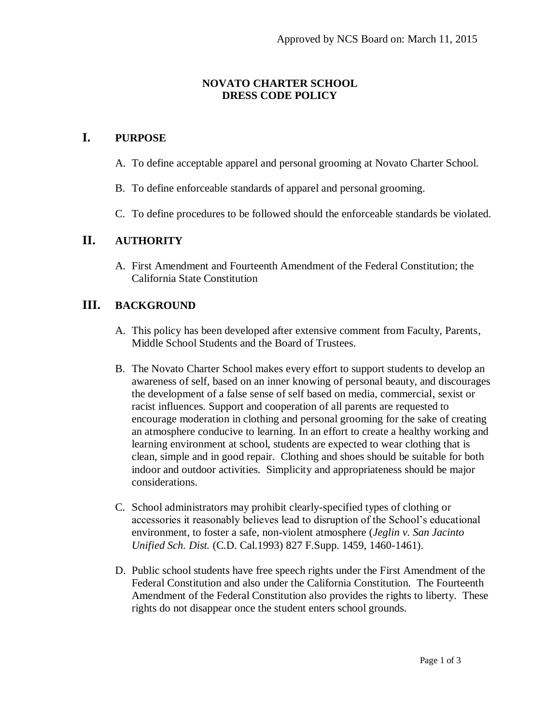### **NOVATO CHARTER SCHOOL DRESS CODE POLICY**

# **I. PURPOSE**

- A. To define acceptable apparel and personal grooming at Novato Charter School.
- B. To define enforceable standards of apparel and personal grooming.
- C. To define procedures to be followed should the enforceable standards be violated.

## **II. AUTHORITY**

A. First Amendment and Fourteenth Amendment of the Federal Constitution; the California State Constitution

# **III. BACKGROUND**

- A. This policy has been developed after extensive comment from Faculty, Parents, Middle School Students and the Board of Trustees.
- B. The Novato Charter School makes every effort to support students to develop an awareness of self, based on an inner knowing of personal beauty, and discourages the development of a false sense of self based on media, commercial, sexist or racist influences. Support and cooperation of all parents are requested to encourage moderation in clothing and personal grooming for the sake of creating an atmosphere conducive to learning. In an effort to create a healthy working and learning environment at school, students are expected to wear clothing that is clean, simple and in good repair. Clothing and shoes should be suitable for both indoor and outdoor activities. Simplicity and appropriateness should be major considerations.
- C. School administrators may prohibit clearly-specified types of clothing or accessories it reasonably believes lead to disruption of the School's educational environment, to foster a safe, non-violent atmosphere (*Jeglin v. San Jacinto Unified Sch. Dist.* (C.D. Cal.1993) 827 F.Supp. 1459, 1460-1461).
- D. Public school students have free speech rights under the First Amendment of the Federal Constitution and also under the California Constitution. The Fourteenth Amendment of the Federal Constitution also provides the rights to liberty. These rights do not disappear once the student enters school grounds.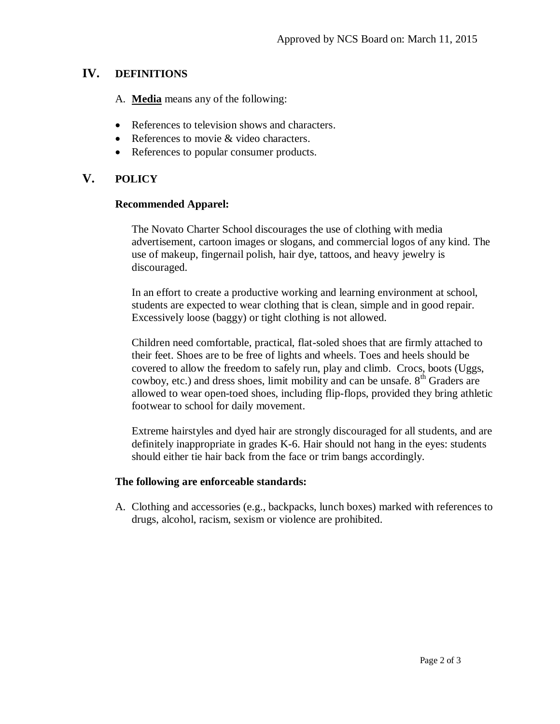# **IV. DEFINITIONS**

A. **Media** means any of the following:

- References to television shows and characters.
- References to movie & video characters.
- References to popular consumer products.

## **V. POLICY**

#### **Recommended Apparel:**

The Novato Charter School discourages the use of clothing with media advertisement, cartoon images or slogans, and commercial logos of any kind. The use of makeup, fingernail polish, hair dye, tattoos, and heavy jewelry is discouraged.

In an effort to create a productive working and learning environment at school, students are expected to wear clothing that is clean, simple and in good repair. Excessively loose (baggy) or tight clothing is not allowed.

Children need comfortable, practical, flat-soled shoes that are firmly attached to their feet. Shoes are to be free of lights and wheels. Toes and heels should be covered to allow the freedom to safely run, play and climb. Crocs, boots (Uggs, cowboy, etc.) and dress shoes, limit mobility and can be unsafe.  $8<sup>th</sup>$  Graders are allowed to wear open-toed shoes, including flip-flops, provided they bring athletic footwear to school for daily movement.

Extreme hairstyles and dyed hair are strongly discouraged for all students, and are definitely inappropriate in grades K-6. Hair should not hang in the eyes: students should either tie hair back from the face or trim bangs accordingly.

#### **The following are enforceable standards:**

A. Clothing and accessories (e.g., backpacks, lunch boxes) marked with references to drugs, alcohol, racism, sexism or violence are prohibited.